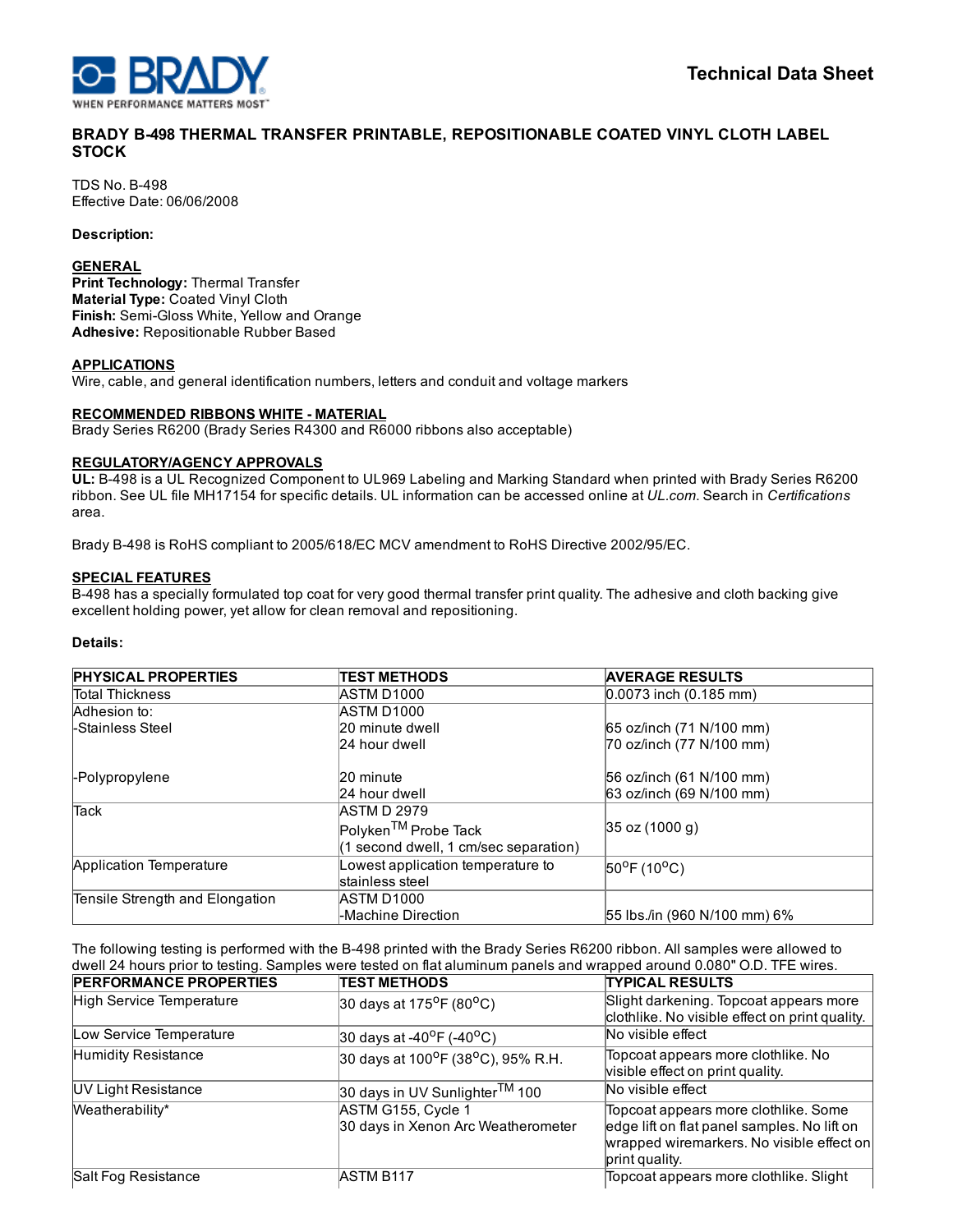

# BRADY B498 THERMAL TRANSFER PRINTABLE, REPOSITIONABLE COATED VINYL CLOTH LABEL **STOCK**

**TDS No. B-498** Effective Date: 06/06/2008

Description:

### **GENERAL**

Print Technology: Thermal Transfer Material Type: Coated Vinyl Cloth Finish: Semi-Gloss White, Yellow and Orange Adhesive: Repositionable Rubber Based

### APPLICATIONS

Wire, cable, and general identification numbers, letters and conduit and voltage markers

### RECOMMENDED RIBBONS WHITE - MATERIAL

Brady Series R6200 (Brady Series R4300 and R6000 ribbons also acceptable)

#### REGULATORY/AGENCY APPROVALS

UL: B498 is a UL Recognized Component to UL969 Labeling and Marking Standard when printed with Brady Series R6200 ribbon. See UL file MH17154 for specific details. UL information can be accessed online at *UL.com*. Search in *Certifications* area.

Brady B498 is RoHS compliant to 2005/618/EC MCV amendment to RoHS Directive 2002/95/EC.

#### SPECIAL FEATURES

B498 has a specially formulated top coat for very good thermal transfer print quality. The adhesive and cloth backing give excellent holding power, yet allow for clean removal and repositioning.

### Details:

| <b>PHYSICAL PROPERTIES</b>      | <b>ITEST METHODS</b>                  | <b>AVERAGE RESULTS</b>             |
|---------------------------------|---------------------------------------|------------------------------------|
| <b>Total Thickness</b>          | <b>ASTM D1000</b>                     | $0.0073$ inch $(0.185$ mm)         |
| Adhesion to:                    | <b>ASTM D1000</b>                     |                                    |
| <b>LStainless Steel</b>         | 20 minute dwell                       | 65 oz/inch (71 N/100 mm)           |
|                                 | 24 hour dwell                         | 70 oz/inch (77 N/100 mm)           |
| <b>F</b> Polypropylene          | 20 minute                             | 56 oz/inch (61 N/100 mm)           |
|                                 | 24 hour dwell                         | 63 oz/inch (69 N/100 mm)           |
| <b>Tack</b>                     | <b>ASTM D 2979</b>                    |                                    |
|                                 | Polyken <sup>TM</sup> Probe Tack      | $ 35 \text{ oz} (1000 \text{ g}) $ |
|                                 | (1 second dwell, 1 cm/sec separation) |                                    |
| Application Temperature         | owest application temperature to      | $50^{\circ}$ F (10 $^{\circ}$ C)   |
|                                 | stainless steel                       |                                    |
| Tensile Strength and Elongation | <b>ASTM D1000</b>                     |                                    |
|                                 | -Machine Direction                    | 55 lbs./in (960 N/100 mm) 6%       |

The following testing is performed with the B-498 printed with the Brady Series R6200 ribbon. All samples were allowed to dwell 24 hours prior to testing. Samples were tested on flat aluminum panels and wrapped around 0.080" O.D. TFE wires.

| <b>PERFORMANCE PROPERTIES</b> | <b>TEST METHODS</b>                                         | <b>TYPICAL RESULTS</b>                                                                                                                             |
|-------------------------------|-------------------------------------------------------------|----------------------------------------------------------------------------------------------------------------------------------------------------|
| High Service Temperature      | 30 days at 175 <sup>o</sup> F (80 <sup>o</sup> C)           | Slight darkening. Topcoat appears more<br>clothlike. No visible effect on print quality.                                                           |
| Low Service Temperature       | 30 days at -40 <sup>o</sup> F (-40 <sup>o</sup> C)          | No visible effect                                                                                                                                  |
| Humidity Resistance           | 30 days at 100 <sup>o</sup> F (38 <sup>o</sup> C), 95% R.H. | Topcoat appears more clothlike. No<br>visible effect on print quality.                                                                             |
| UV Light Resistance           | 30 days in UV Sunlighter <sup>TM</sup> 100                  | No visible effect                                                                                                                                  |
| Weatherability*               | ASTM G155, Cycle 1<br>30 days in Xenon Arc Weatherometer    | Topcoat appears more clothlike. Some<br>edge lift on flat panel samples. No lift on<br>wrapped wiremarkers. No visible effect on<br>print quality. |
| Salt Fog Resistance           | <b>ASTM B117</b>                                            | Topcoat appears more clothlike. Slight                                                                                                             |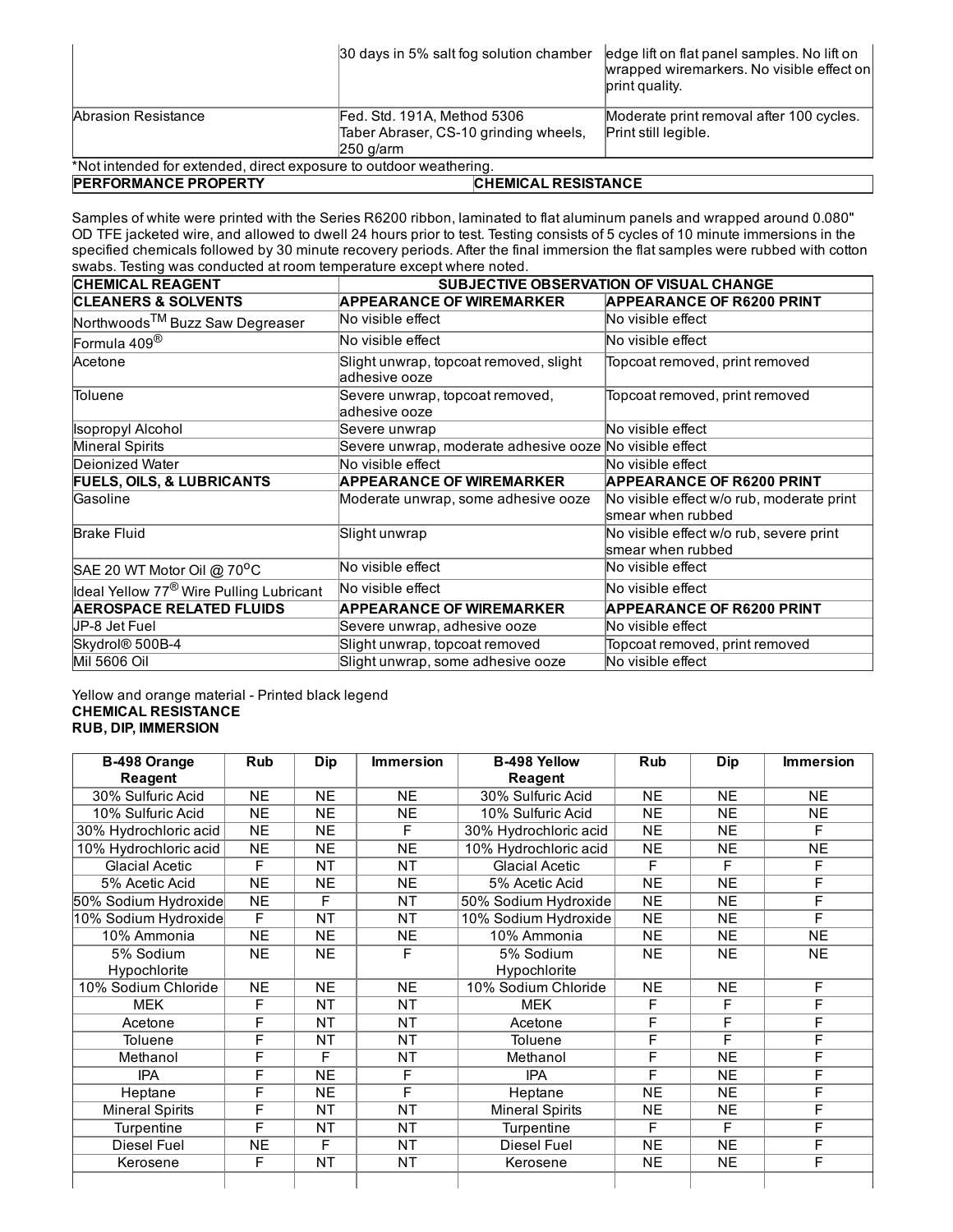|                                                                    | 30 days in 5% salt fog solution chamber | edge lift on flat panel samples. No lift on<br>wrapped wiremarkers. No visible effect on<br>print quality. |  |  |  |  |
|--------------------------------------------------------------------|-----------------------------------------|------------------------------------------------------------------------------------------------------------|--|--|--|--|
| Abrasion Resistance                                                | Fed. Std. 191A, Method 5306             | Moderate print removal after 100 cycles.                                                                   |  |  |  |  |
|                                                                    | Taber Abraser, CS-10 grinding wheels,   | Print still legible.                                                                                       |  |  |  |  |
|                                                                    | $250$ g/arm                             |                                                                                                            |  |  |  |  |
| *Not intended for extended, direct exposure to outdoor weathering. |                                         |                                                                                                            |  |  |  |  |
| <b>PERFORMANCE PROPERTY</b>                                        |                                         | <b>CHEMICAL RESISTANCE</b>                                                                                 |  |  |  |  |

Samples of white were printed with the Series R6200 ribbon, laminated to flat aluminum panels and wrapped around 0.080" OD TFE jacketed wire, and allowed to dwell 24 hours prior to test. Testing consists of 5 cycles of 10 minute immersions in the specified chemicals followed by 30 minute recovery periods. After the final immersion the flat samples were rubbed with cotton swabs. Testing was conducted at room temperature except where noted.

| <b>CHEMICAL REAGENT</b>                             | <b>SUBJECTIVE OBSERVATION OF VISUAL CHANGE</b>          |                                                                 |  |  |
|-----------------------------------------------------|---------------------------------------------------------|-----------------------------------------------------------------|--|--|
| <b>CLEANERS &amp; SOLVENTS</b>                      | <b>APPEARANCE OF WIREMARKER</b>                         | <b>APPEARANCE OF R6200 PRINT</b>                                |  |  |
| Northwoods <sup>TM</sup> Buzz Saw Degreaser         | No visible effect                                       | No visible effect                                               |  |  |
| Formula 409 <sup>®</sup>                            | No visible effect                                       | No visible effect                                               |  |  |
| Acetone                                             | Slight unwrap, topcoat removed, slight<br>adhesive ooze | Topcoat removed, print removed                                  |  |  |
| Toluene                                             | Severe unwrap, topcoat removed,<br>adhesive ooze        | Topcoat removed, print removed                                  |  |  |
| <b>Isopropyl Alcohol</b>                            | Severe unwrap                                           | No visible effect                                               |  |  |
| Mineral Spirits                                     | Severe unwrap, moderate adhesive ooze No visible effect |                                                                 |  |  |
| Deionized Water                                     | No visible effect                                       | No visible effect                                               |  |  |
| <b>FUELS, OILS, &amp; LUBRICANTS</b>                | <b>APPEARANCE OF WIREMARKER</b>                         | <b>APPEARANCE OF R6200 PRINT</b>                                |  |  |
| Gasoline                                            | Moderate unwrap, some adhesive ooze                     | No visible effect w/o rub, moderate print<br>lsmear when rubbed |  |  |
| <b>Brake Fluid</b>                                  | Slight unwrap                                           | No visible effect w/o rub, severe print<br>smear when rubbed    |  |  |
| SAE 20 WT Motor Oil @ 70°C                          | No visible effect                                       | No visible effect                                               |  |  |
| Ideal Yellow 77 <sup>®</sup> Wire Pulling Lubricant | No visible effect                                       | No visible effect                                               |  |  |
| <b>AEROSPACE RELATED FLUIDS</b>                     | <b>APPEARANCE OF WIREMARKER</b>                         | <b>APPEARANCE OF R6200 PRINT</b>                                |  |  |
| UP-8 Jet Fuel                                       | Severe unwrap, adhesive ooze                            | No visible effect                                               |  |  |
| Skydrol <sup>®</sup> 500B-4                         | Slight unwrap, topcoat removed                          | Topcoat removed, print removed                                  |  |  |
| Mil 5606 Oil                                        | Slight unwrap, some adhesive ooze                       | No visible effect                                               |  |  |

### Yellow and orange material - Printed black legend CHEMICAL RESISTANCE RUB, DIP, IMMERSION

| B-498 Orange           | <b>Rub</b> | <b>Dip</b> | <b>Immersion</b> | <b>B-498 Yellow</b>    | <b>Rub</b> | Dip       | <b>Immersion</b> |
|------------------------|------------|------------|------------------|------------------------|------------|-----------|------------------|
| Reagent                |            |            |                  | Reagent                |            |           |                  |
| 30% Sulfuric Acid      | <b>NE</b>  | <b>NE</b>  | <b>NE</b>        | 30% Sulfuric Acid      | <b>NE</b>  | <b>NE</b> | <b>NE</b>        |
| 10% Sulfuric Acid      | <b>NE</b>  | <b>NE</b>  | <b>NE</b>        | 10% Sulfuric Acid      | <b>NE</b>  | <b>NE</b> | <b>NE</b>        |
| 30% Hydrochloric acid  | <b>NE</b>  | <b>NE</b>  | F                | 30% Hydrochloric acid  | <b>NE</b>  | <b>NE</b> | F                |
| 10% Hydrochloric acid  | NE         | <b>NE</b>  | <b>NE</b>        | 10% Hydrochloric acid  | <b>NE</b>  | <b>NE</b> | NE               |
| <b>Glacial Acetic</b>  | F          | <b>NT</b>  | <b>NT</b>        | <b>Glacial Acetic</b>  | F          | F         | F                |
| 5% Acetic Acid         | NE         | <b>NE</b>  | <b>NE</b>        | 5% Acetic Acid         | <b>NE</b>  | <b>NE</b> | F                |
| 50% Sodium Hydroxide   | NE         | F          | <b>NT</b>        | 50% Sodium Hydroxide   | <b>NE</b>  | <b>NE</b> | F                |
| 10% Sodium Hydroxide   | F          | <b>NT</b>  | <b>NT</b>        | 10% Sodium Hydroxide   | <b>NE</b>  | <b>NE</b> | F                |
| 10% Ammonia            | <b>NE</b>  | <b>NE</b>  | <b>NE</b>        | 10% Ammonia            | <b>NE</b>  | <b>NE</b> | <b>NE</b>        |
| 5% Sodium              | <b>NE</b>  | <b>NE</b>  | F                | 5% Sodium              | <b>NE</b>  | <b>NE</b> | <b>NE</b>        |
| Hypochlorite           |            |            |                  | Hypochlorite           |            |           |                  |
| 10% Sodium Chloride    | <b>NE</b>  | <b>NE</b>  | <b>NE</b>        | 10% Sodium Chloride    | <b>NE</b>  | <b>NE</b> | F                |
| <b>MEK</b>             | F          | <b>NT</b>  | <b>NT</b>        | <b>MEK</b>             | F          | F         | F                |
| Acetone                | F          | <b>NT</b>  | <b>NT</b>        | Acetone                | F          | F         | F                |
| Toluene                | F          | <b>NT</b>  | <b>NT</b>        | Toluene                | F          | F         | F                |
| Methanol               | F          | F          | <b>NT</b>        | Methanol               | F          | <b>NE</b> | F                |
| <b>IPA</b>             | F          | <b>NE</b>  | F                | <b>IPA</b>             | F          | <b>NE</b> | F                |
| Heptane                | F          | <b>NE</b>  | F                | Heptane                | <b>NE</b>  | <b>NE</b> | F                |
| <b>Mineral Spirits</b> | F          | <b>NT</b>  | <b>NT</b>        | <b>Mineral Spirits</b> | <b>NE</b>  | <b>NE</b> | F                |
| Turpentine             | F          | NT         | <b>NT</b>        | Turpentine             | F          | F         | F                |
| <b>Diesel Fuel</b>     | <b>NE</b>  | F          | <b>NT</b>        | Diesel Fuel            | <b>NE</b>  | <b>NE</b> | F                |
| Kerosene               | F          | <b>NT</b>  | <b>NT</b>        | Kerosene               | <b>NE</b>  | <b>NE</b> | F                |
|                        |            |            |                  |                        |            |           |                  |